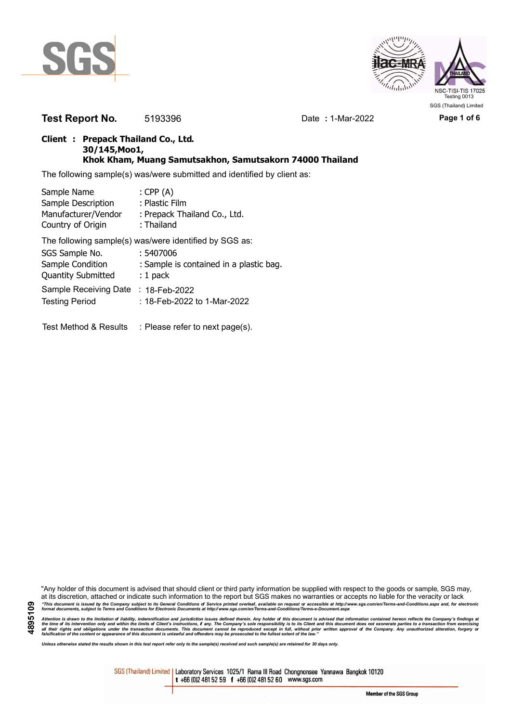



**Test Report No.** 5193396 Date : 1-Mar-2022 Page 1 of 6

## **Client : Prepack Thailand Co., Ltd. 30/145,Moo1, Khok Kham, Muang Samutsakhon, Samutsakorn 74000 Thailand**

The following sample(s) was/were submitted and identified by client as:

| Sample Name               | : $CPP(A)$                                             |
|---------------------------|--------------------------------------------------------|
| Sample Description        | : Plastic Film                                         |
| Manufacturer/Vendor       | : Prepack Thailand Co., Ltd.                           |
| Country of Origin         | : Thailand                                             |
|                           | The following sample(s) was/were identified by SGS as: |
| SGS Sample No.            | : 5407006                                              |
| Sample Condition          | : Sample is contained in a plastic bag.                |
| <b>Quantity Submitted</b> | $: 1$ pack                                             |
| Sample Receiving Date     | : 18-Feb-2022                                          |
| <b>Testing Period</b>     | : 18-Feb-2022 to 1-Mar-2022                            |
|                           |                                                        |
| Test Method & Results     | : Please refer to next page(s).                        |

"Any holder of this document is advised that should client or third party information be supplied with respect to the goods or sample, SGS may, at its discretion, attached or indicate such information to the report but SGS makes no warranties or accepts no liable for the veracity or lack "This document is issued by the Company subject to its General Conditions of Service printed overleaf, available on request or accessible at http://www.sgs.com/en/Terms-and-Conditions.aspx and, for electronic<br>format docume

Attention is drawn to the limitation of liability, indemnification and jurisdiction issues defined therein. Any holder of this document is advised that information contained hereon reflects the Company's findings at<br>all th

*Unless otherwise stated the results shown in this test report refer only to the sample(s) received and such sample(s) are retained for 30 days only.*

SGS (Thailand) Limited | Laboratory Services 1025/1 Rama III Road Chongnonsee Yannawa Bangkok 10120 t +66 (0)2 481 52 59 f +66 (0)2 481 52 60 www.sgs.com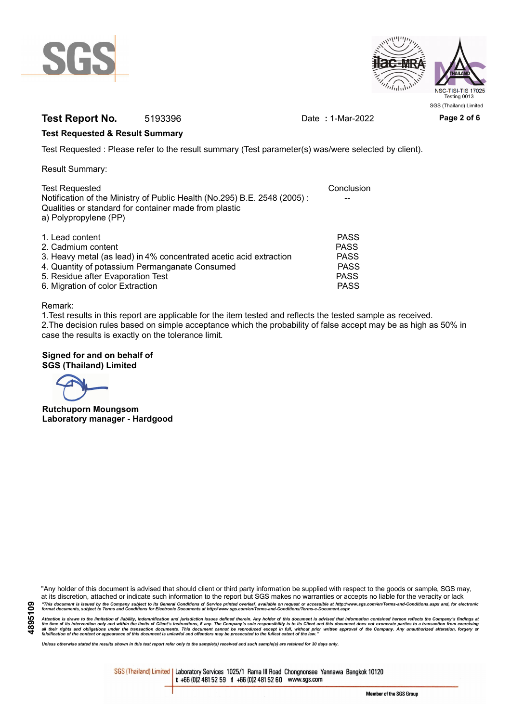



# **Test Report No.** 5193396 Date : 1-Mar-2022 **Page 2 of 6**

### **Test Requested & Result Summary**

Test Requested : Please refer to the result summary (Test parameter(s) was/were selected by client).

Result Summary:

| <b>Test Requested</b>                                                                                                                                      | Conclusion  |
|------------------------------------------------------------------------------------------------------------------------------------------------------------|-------------|
| Notification of the Ministry of Public Health (No.295) B.E. 2548 (2005):<br>Qualities or standard for container made from plastic<br>a) Polypropylene (PP) |             |
| 1. Lead content                                                                                                                                            | <b>PASS</b> |
| 2. Cadmium content                                                                                                                                         | <b>PASS</b> |
| 3. Heavy metal (as lead) in 4% concentrated acetic acid extraction                                                                                         | <b>PASS</b> |
| 4. Quantity of potassium Permanganate Consumed                                                                                                             | <b>PASS</b> |
| 5. Residue after Evaporation Test                                                                                                                          | <b>PASS</b> |
| 6. Migration of color Extraction                                                                                                                           | <b>PASS</b> |

#### Remark:

1.Test results in this report are applicable for the item tested and reflects the tested sample as received. 2.The decision rules based on simple acceptance which the probability of false accept may be as high as 50% in case the results is exactly on the tolerance limit.

### **Signed for and on behalf of SGS (Thailand) Limited**

**Rutchuporn Moungsom Laboratory manager - Hardgood**

"Any holder of this document is advised that should client or third party information be supplied with respect to the goods or sample, SGS may, at its discretion, attached or indicate such information to the report but SGS makes no warranties or accepts no liable for the veracity or lack "This document is issued by the Company subject to its General Conditions of Service printed overleaf, available on request or accessible at http://www.sgs.com/en/Terms-and-Conditions.aspx and, for electronic<br>format docume

Attention is drawn to the limitation of liability, indemnification and jurisdiction issues defined therein. Any holder of this document is advised that information contained hereon reflects the Company's findings at<br>all th

*Unless otherwise stated the results shown in this test report refer only to the sample(s) received and such sample(s) are retained for 30 days only.*

SGS (Thailand) Limited | Laboratory Services 1025/1 Rama III Road Chongnonsee Yannawa Bangkok 10120 t +66 (0)2 481 52 59 f +66 (0)2 481 52 60 www.sgs.com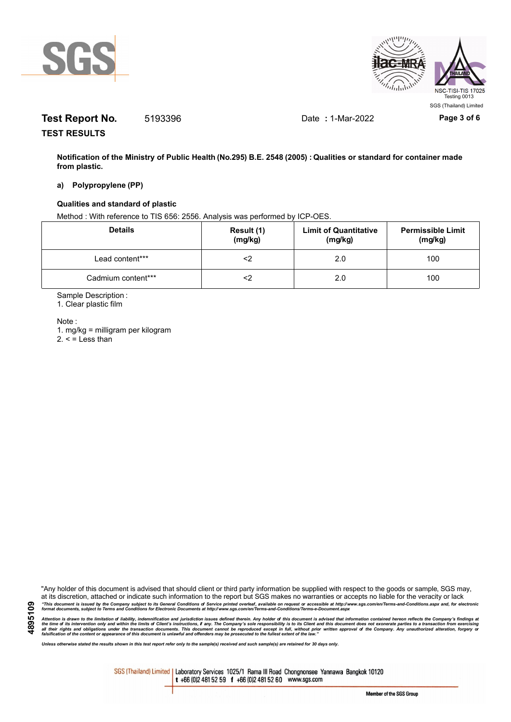



# **Test Report No.** 5193396 Date : 1-Mar-2022 Page 3 of 6

**TEST RESULTS**

**Notification of the Ministry of Public Health (No.295) B.E. 2548 (2005) : Qualities or standard for container made from plastic.**

#### **a) Polypropylene (PP)**

### **Qualities and standard of plastic**

Method : With reference to TIS 656: 2556. Analysis was performed by ICP-OES.

| <b>Details</b>     | Result (1)<br>(mg/kg) | <b>Limit of Quantitative</b><br>(mg/kg) | <b>Permissible Limit</b><br>(mg/kg) |
|--------------------|-----------------------|-----------------------------------------|-------------------------------------|
| Lead content***    |                       | 2.0                                     | 100                                 |
| Cadmium content*** |                       | 2.0                                     | 100                                 |

Sample Description :

1. Clear plastic film

Note :

1. mg/kg = milligram per kilogram  $2. <$  = Less than

"Any holder of this document is advised that should client or third party information be supplied with respect to the goods or sample, SGS may, at its discretion, attached or indicate such information to the report but SGS makes no warranties or accepts no liable for the veracity or lack "This document is issued by the Company subject to its General Conditions of Service printed overleaf, available on request or accessible at http://www.sgs.com/en/Terms-and-Conditions.aspx and, for electronic<br>format docume

Attention is drawn to the limitation of liability, indemnification and jurisdiction issues defined therein. Any holder of this document is advised that information contained hereon reflects the Company's findings at<br>all th

*Unless otherwise stated the results shown in this test report refer only to the sample(s) received and such sample(s) are retained for 30 days only.*

SGS (Thailand) Limited | Laboratory Services 1025/1 Rama III Road Chongnonsee Yannawa Bangkok 10120 t +66 (0)2 481 52 59 f +66 (0)2 481 52 60 www.sgs.com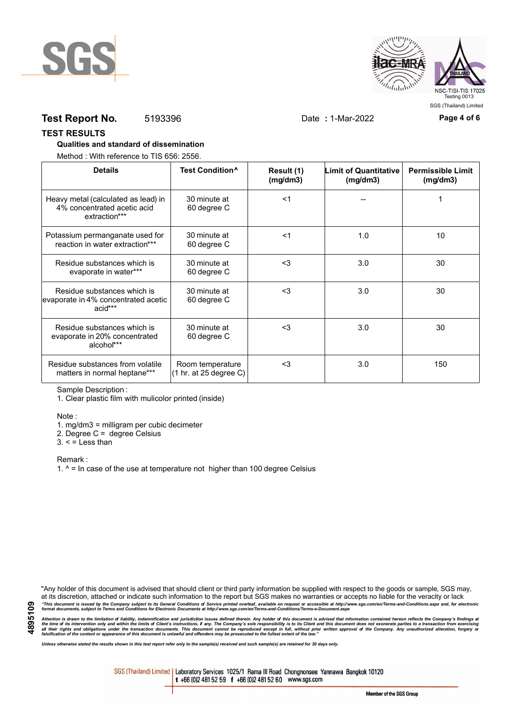



## **Test Report No.** 5193396 Date : 1-Mar-2022 Page 4 of 6

### **TEST RESULTS**

### **Qualities and standard of dissemination**

Method : With reference to TIS 656: 2556.

| <b>Details</b>                                                                      | Test Condition <sup>^</sup>                                   | Result (1)<br>(mg/dm3) | <b>Limit of Quantitative</b><br>(mg/dm3) | <b>Permissible Limit</b><br>(mg/dm3) |
|-------------------------------------------------------------------------------------|---------------------------------------------------------------|------------------------|------------------------------------------|--------------------------------------|
| Heavy metal (calculated as lead) in<br>4% concentrated acetic acid<br>extraction*** | 30 minute at<br>60 degree C                                   | $<$ 1                  |                                          |                                      |
| Potassium permanganate used for<br>reaction in water extraction***                  | 30 minute at<br>60 degree C                                   | $<$ 1                  | 1.0                                      | 10                                   |
| Residue substances which is<br>evaporate in water***                                | 30 minute at<br>60 degree C                                   | $3$                    | 3.0                                      | 30                                   |
| Residue substances which is<br>evaporate in 4% concentrated acetic<br>acid***       | 30 minute at<br>60 degree C                                   | <3                     | 3.0                                      | 30                                   |
| Residue substances which is<br>evaporate in 20% concentrated<br>alcohol***          | 30 minute at<br>60 degree C                                   | $3$                    | 3.0                                      | 30                                   |
| Residue substances from volatile<br>matters in normal heptane***                    | Room temperature<br>$(1 \text{ hr. at } 25 \text{ degree C})$ | $3$                    | 3.0                                      | 150                                  |

Sample Description :

1. Clear plastic film with mulicolor printed (inside)

Note :

1. mg/dm3 = milligram per cubic decimeter

2. Degree C = degree Celsius

 $3. <$  = Less than

Remark :

1.  $^{\circ}$  = In case of the use at temperature not higher than 100 degree Celsius

"Any holder of this document is advised that should client or third party information be supplied with respect to the goods or sample, SGS may, at its discretion, attached or indicate such information to the report but SGS makes no warranties or accepts no liable for the veracity or lack "This document is issued by the Company subject to its General Conditions of Service printed overleaf, available on request or accessible at http://www.sgs.com/en/Terms-and-Conditions.aspx and, for electronic<br>format docume

Attention is drawn to the limitation of liability, indemnification and jurisdiction issues defined therein. Any holder of this document is advised that information contained hereon reflects the Company's findings at<br>all th

*Unless otherwise stated the results shown in this test report refer only to the sample(s) received and such sample(s) are retained for 30 days only.*

SGS (Thailand) Limited | Laboratory Services 1025/1 Rama III Road Chongnonsee Yannawa Bangkok 10120 t +66 (0)2 481 52 59 f +66 (0)2 481 52 60 www.sgs.com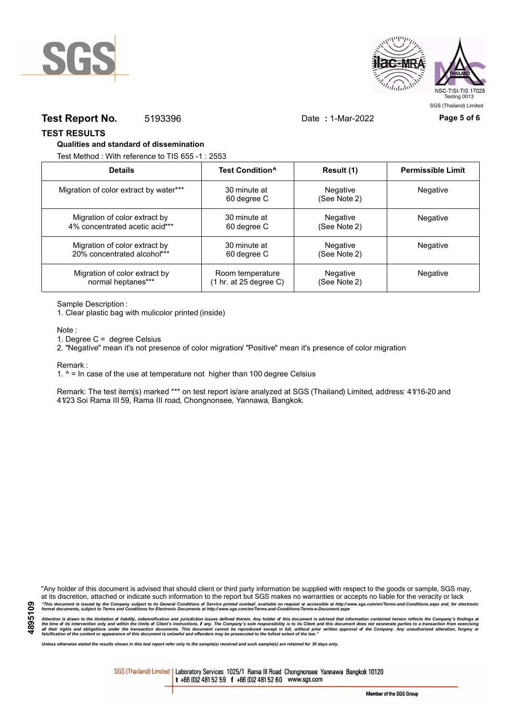



## **Test Report No.** 5193396 Date : 1-Mar-2022 Page 5 of 6

**TEST RESULTS**

#### **Qualities and standard of dissemination**

Test Method : With reference to TIS 655 -1 : 2553

| <b>Details</b>                         | Test Condition <sup>^</sup> | Result (1)               | <b>Permissible Limit</b> |
|----------------------------------------|-----------------------------|--------------------------|--------------------------|
| Migration of color extract by water*** | 30 minute at<br>60 degree C | Negative<br>(See Note 2) | Negative                 |
| Migration of color extract by          | 30 minute at                | Negative                 | <b>Negative</b>          |
| 4% concentrated acetic acid***         | 60 degree C                 | (See Note 2)             |                          |
| Migration of color extract by          | 30 minute at                | Negative                 | <b>Negative</b>          |
| 20% concentrated alcohol***            | 60 degree C                 | (See Note 2)             |                          |
| Migration of color extract by          | Room temperature            | Negative                 | Negative                 |
| normal heptanes***                     | (1 hr. at 25 degree C)      | (See Note 2)             |                          |

Sample Description :

1. Clear plastic bag with mulicolor printed (inside)

Note :

1. Degree C = degree Celsius

2. "Negative" mean it's not presence of color migration/ "Positive" mean it's presence of color migration

Remark :

1.  $^{\circ}$  = In case of the use at temperature not higher than 100 degree Celsius

Remark: The test item(s) marked \*\*\* on test report is/are analyzed at SGS (Thailand) Limited, address: 41/16-20 and 41/23 Soi Rama III 59, Rama III road, Chongnonsee, Yannawa, Bangkok.

**4895109**

"Any holder of this document is advised that should client or third party information be supplied with respect to the goods or sample, SGS may, at its discretion, attached or indicate such information to the report but SGS makes no warranties or accepts no liable for the veracity or lack "This document is issued by the Company subject to its General Conditions of Service printed overleaf, available on request or accessible at http://www.sgs.com/en/Terms-and-Conditions.aspx and, for electronic<br>format docume

Attention is drawn to the limitation of liability, indemnification and jurisdiction issues defined therein. Any holder of this document is advised that information contained hereon reflects the Company's findings at<br>all th

*Unless otherwise stated the results shown in this test report refer only to the sample(s) received and such sample(s) are retained for 30 days only.*

SGS (Thailand) Limited | Laboratory Services 1025/1 Rama III Road Chongnonsee Yannawa Bangkok 10120 t +66 (0)2 481 52 59 f +66 (0)2 481 52 60 www.sgs.com